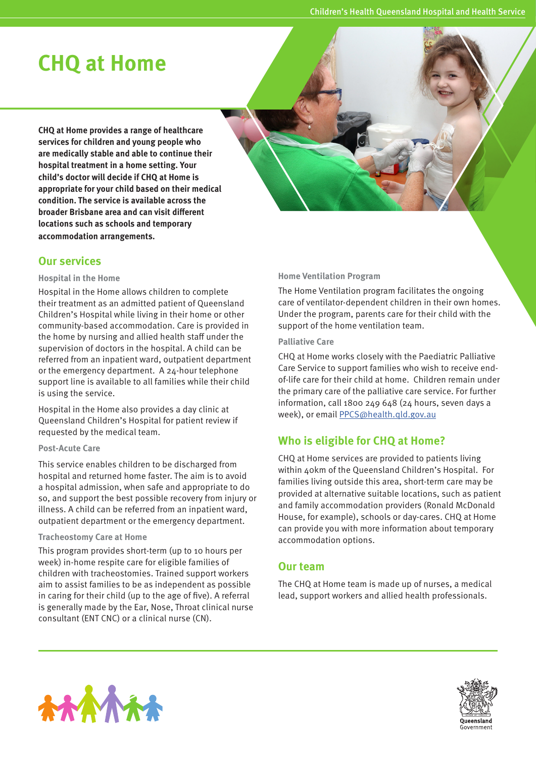# **CHQ at Home**

**CHQ at Home provides a range of healthcare services for children and young people who are medically stable and able to continue their hospital treatment in a home setting. Your child's doctor will decide if CHQ at Home is appropriate for your child based on their medical condition. The service is available across the broader Brisbane area and can visit different locations such as schools and temporary accommodation arrangements.** 

## **Our services**

#### **Hospital in the Home**

Hospital in the Home allows children to complete their treatment as an admitted patient of Queensland Children's Hospital while living in their home or other community-based accommodation. Care is provided in the home by nursing and allied health staff under the supervision of doctors in the hospital. A child can be referred from an inpatient ward, outpatient department or the emergency department. A 24-hour telephone support line is available to all families while their child is using the service.

Hospital in the Home also provides a day clinic at Queensland Children's Hospital for patient review if requested by the medical team.

#### **Post-Acute Care**

This service enables children to be discharged from hospital and returned home faster. The aim is to avoid a hospital admission, when safe and appropriate to do so, and support the best possible recovery from injury or illness. A child can be referred from an inpatient ward, outpatient department or the emergency department.

#### **Tracheostomy Care at Home**

This program provides short-term (up to 10 hours per week) in-home respite care for eligible families of children with tracheostomies. Trained support workers aim to assist families to be as independent as possible in caring for their child (up to the age of five). A referral is generally made by the Ear, Nose, Throat clinical nurse consultant (ENT CNC) or a clinical nurse (CN).

#### **Home Ventilation Program**

The Home Ventilation program facilitates the ongoing care of ventilator-dependent children in their own homes. Under the program, parents care for their child with the support of the home ventilation team.

#### **Palliative Care**

CHQ at Home works closely with the Paediatric Palliative Care Service to support families who wish to receive endof-life care for their child at home. Children remain under the primary care of the palliative care service. For further information, call 1800 249 648 (24 hours, seven days a week), or email PPCS@health.qld.gov.au

## **Who is eligible for CHQ at Home?**

CHQ at Home services are provided to patients living within 40km of the Queensland Children's Hospital. For families living outside this area, short-term care may be provided at alternative suitable locations, such as patient and family accommodation providers (Ronald McDonald House, for example), schools or day-cares. CHQ at Home can provide you with more information about temporary accommodation options.

## **Our team**

The CHQ at Home team is made up of nurses, a medical lead, support workers and allied health professionals.